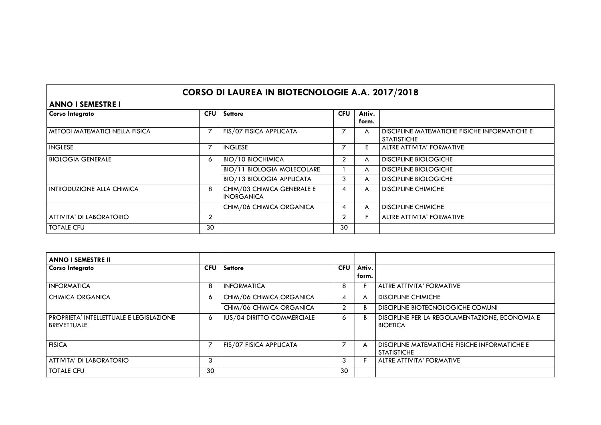## **CORSO DI LAUREA IN BIOTECNOLOGIE A.A. 2017/2018**

| <b>ANNO I SEMESTRE I</b>              |                |                                                 |            |                 |                                                                     |  |
|---------------------------------------|----------------|-------------------------------------------------|------------|-----------------|---------------------------------------------------------------------|--|
| <b>Corso Integrato</b>                | <b>CFU</b>     | <b>Settore</b>                                  | <b>CFU</b> | Attiv.<br>form. |                                                                     |  |
| <b>METODI MATEMATICI NELLA FISICA</b> | 7              | FIS/07 FISICA APPLICATA                         |            | A               | DISCIPLINE MATEMATICHE FISICHE INFORMATICHE E<br><b>STATISTICHE</b> |  |
| <b>INGLESE</b>                        | $\overline{ }$ | <b>INGLESE</b>                                  |            | E.              | <b>ALTRE ATTIVITA' FORMATIVE</b>                                    |  |
| BIOLOGIA GENERALE                     | 6              | <b>BIO/10 BIOCHIMICA</b>                        |            | A               | <b>DISCIPLINE BIOLOGICHE</b>                                        |  |
|                                       |                | <b>BIO/11 BIOLOGIA MOLECOLARE</b>               |            | A               | <b>DISCIPLINE BIOLOGICHE</b>                                        |  |
|                                       |                | <b>BIO/13 BIOLOGIA APPLICATA</b>                | 3          | A               | <b>DISCIPLINE BIOLOGICHE</b>                                        |  |
| <b>INTRODUZIONE ALLA CHIMICA</b>      | 8              | CHIM/03 CHIMICA GENERALE E<br><b>INORGANICA</b> | 4          | A               | <b>DISCIPLINE CHIMICHE</b>                                          |  |
|                                       |                | CHIM/06 CHIMICA ORGANICA                        | 4          | A               | <b>DISCIPLINE CHIMICHE</b>                                          |  |
| ATTIVITA' DI LABORATORIO              | $\overline{2}$ |                                                 | 2          |                 | ALTRE ATTIVITA' FORMATIVE                                           |  |
| <b>TOTALE CFU</b>                     | 30             |                                                 | 30         |                 |                                                                     |  |

| <b>ANNO I SEMESTRE II</b>                                  |            |                            |                |                 |                                                                     |
|------------------------------------------------------------|------------|----------------------------|----------------|-----------------|---------------------------------------------------------------------|
| <b>Corso Integrato</b>                                     | <b>CFU</b> | <b>Settore</b>             | <b>CFU</b>     | Attiv.<br>form. |                                                                     |
|                                                            |            |                            |                |                 |                                                                     |
| <b>INFORMATICA</b>                                         | 8          | <b>INFORMATICA</b>         | 8              |                 | ALTRE ATTIVITA' FORMATIVE                                           |
| I CHIMICA ORGANICA                                         | $\circ$    | CHIM/06 CHIMICA ORGANICA   | 4              |                 | <b>DISCIPLINE CHIMICHE</b>                                          |
|                                                            |            | CHIM/06 CHIMICA ORGANICA   | $\overline{2}$ | B.              | <b>DISCIPLINE BIOTECNOLOGICHE COMUNI</b>                            |
| I PROPRIETA' INTELLETTUALE E LEGISLAZIONE<br>l BREVETTUALE | 6          | IUS/04 DIRITTO COMMERCIALE | Ō              |                 | DISCIPLINE PER LA REGOLAMENTAZIONE, ECONOMIA E<br><b>BIOETICA</b>   |
| <b>FISICA</b>                                              | 7          | FIS/07 FISICA APPLICATA    |                | A               | DISCIPLINE MATEMATICHE FISICHE INFORMATICHE E<br><b>STATISTICHE</b> |
| <b>ATTIVITA' DI LABORATORIO</b>                            | 3          |                            | 3              |                 | <b>ALTRE ATTIVITA' FORMATIVE</b>                                    |
| l totale cfu                                               | 30         |                            | 30             |                 |                                                                     |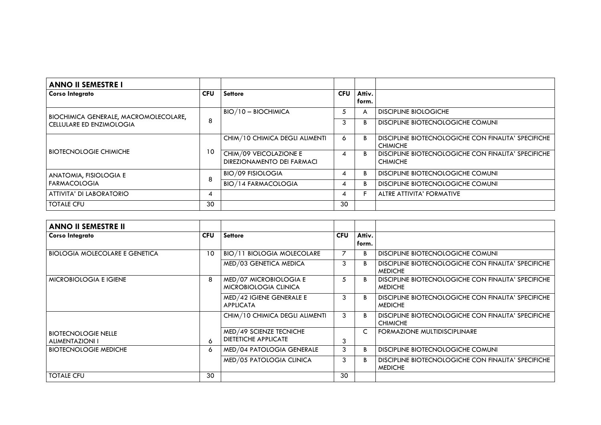| <b>ANNO II SEMESTRE I</b>                                                |            |                                                      |            |                 |                                                                        |
|--------------------------------------------------------------------------|------------|------------------------------------------------------|------------|-----------------|------------------------------------------------------------------------|
| <b>Corso Integrato</b>                                                   | <b>CFU</b> | <b>Settore</b>                                       | <b>CFU</b> | Attiv.<br>form. |                                                                        |
| BIOCHIMICA GENERALE, MACROMOLECOLARE,<br><b>CELLULARE ED ENZIMOLOGIA</b> | 8          | BIO/10 – BIOCHIMICA                                  | C.         | А               | <b>DISCIPLINE BIOLOGICHE</b>                                           |
|                                                                          |            |                                                      |            |                 | DISCIPLINE BIOTECNOLOGICHE COMUNI                                      |
| <b>BIOTECNOLOGIE CHIMICHE</b>                                            | 10         | CHIM/10 CHIMICA DEGLI ALIMENTI                       | O          | R.              | DISCIPLINE BIOTECNOLOGICHE CON FINALITA' SPECIFICHE<br><b>CHIMICHE</b> |
|                                                                          |            | CHIM/09 VEICOLAZIONE E<br>DIREZIONAMENTO DEI FARMACI |            |                 | DISCIPLINE BIOTECNOLOGICHE CON FINALITA' SPECIFICHE<br><b>CHIMICHE</b> |
| ANATOMIA, FISIOLOGIA E                                                   | 8          | <b>BIO/09 FISIOLOGIA</b>                             |            |                 | DISCIPLINE BIOTECNOLOGICHE COMUNI                                      |
| <b>FARMACOLOGIA</b>                                                      |            | <b>BIO/14 FARMACOLOGIA</b>                           |            |                 | DISCIPLINE BIOTECNOLOGICHE COMUNI                                      |
| ATTIVITA' DI LABORATORIO                                                 | 4          |                                                      |            |                 | <b>ALTRE ATTIVITA' FORMATIVE</b>                                       |
| <b>TOTALE CFU</b>                                                        | 30         |                                                      | 30         |                 |                                                                        |

| <b>ANNO II SEMESTRE II</b>                    |            |                                                        |            |                 |                                                                        |
|-----------------------------------------------|------------|--------------------------------------------------------|------------|-----------------|------------------------------------------------------------------------|
| <b>Corso Integrato</b>                        | <b>CFU</b> | <b>Settore</b>                                         | <b>CFU</b> | Attiv.<br>form. |                                                                        |
| <b>BIOLOGIA MOLECOLARE E GENETICA</b>         | 10         | <b>BIO/11 BIOLOGIA MOLECOLARE</b>                      |            |                 | DISCIPLINE BIOTECNOLOGICHE COMUNI                                      |
|                                               |            | MED/03 GENETICA MEDICA                                 | 3          |                 | DISCIPLINE BIOTECNOLOGICHE CON FINALITA' SPECIFICHE<br><b>MEDICHE</b>  |
| <b>MICROBIOLOGIA E IGIENE</b>                 | 8          | MED/07 MICROBIOLOGIA E<br>MICROBIOLOGIA CLINICA        | 5          |                 | DISCIPLINE BIOTECNOLOGICHE CON FINALITA' SPECIFICHE<br><b>MEDICHE</b>  |
|                                               |            | MED/42 IGIENE GENERALE E<br><b>APPLICATA</b>           | 3          |                 | DISCIPLINE BIOTECNOLOGICHE CON FINALITA' SPECIFICHE<br><b>MEDICHE</b>  |
|                                               |            | CHIM/10 CHIMICA DEGLI ALIMENTI                         | 3          | B.              | DISCIPLINE BIOTECNOLOGICHE CON FINALITA' SPECIFICHE<br><b>CHIMICHE</b> |
| BIOTECNOLOGIE NELLE<br><b>ALIMENTAZIONI I</b> | 6          | MED/49 SCIENZE TECNICHE<br><b>DIETETICHE APPLICATE</b> | 3          | C               | <b>FORMAZIONE MULTIDISCIPLINARE</b>                                    |
| <b>BIOTECNOLOGIE MEDICHE</b>                  | 6          | MED/04 PATOLOGIA GENERALE                              | 3          |                 | DISCIPLINE BIOTECNOLOGICHE COMUNI                                      |
|                                               |            | MED/05 PATOLOGIA CLINICA                               | 3          |                 | DISCIPLINE BIOTECNOLOGICHE CON FINALITA' SPECIFICHE<br><b>MEDICHE</b>  |
| <b>TOTALE CFU</b>                             | 30         |                                                        | 30         |                 |                                                                        |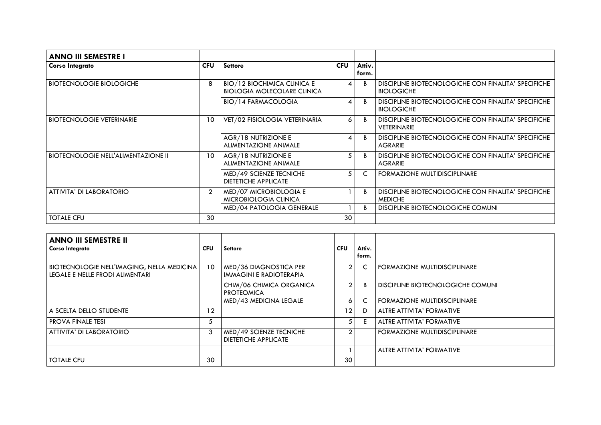| <b>ANNO III SEMESTRE I</b>                 |                |                                    |                       |                 |                                                     |
|--------------------------------------------|----------------|------------------------------------|-----------------------|-----------------|-----------------------------------------------------|
| <b>Corso Integrato</b>                     | <b>CFU</b>     | <b>Settore</b>                     | <b>CFU</b>            | Attiv.<br>form. |                                                     |
|                                            |                |                                    |                       |                 |                                                     |
| <b>BIOTECNOLOGIE BIOLOGICHE</b>            | 8              | <b>BIO/12 BIOCHIMICA CLINICA E</b> | 4                     |                 | DISCIPLINE BIOTECNOLOGICHE CON FINALITA' SPECIFICHE |
|                                            |                | <b>BIOLOGIA MOLECOLARE CLINICA</b> |                       |                 | <b>BIOLOGICHE</b>                                   |
|                                            |                | <b>BIO/14 FARMACOLOGIA</b>         | $\boldsymbol{\Delta}$ |                 | DISCIPLINE BIOTECNOLOGICHE CON FINALITA' SPECIFICHE |
|                                            |                |                                    |                       |                 | <b>BIOLOGICHE</b>                                   |
| <b>BIOTECNOLOGIE VETERINARIE</b>           | 10             | VET/02 FISIOLOGIA VETERINARIA      | 6                     |                 | DISCIPLINE BIOTECNOLOGICHE CON FINALITA' SPECIFICHE |
|                                            |                |                                    |                       |                 | <b>VETERINARIE</b>                                  |
|                                            |                | AGR/18 NUTRIZIONE E                | $\boldsymbol{\Delta}$ |                 | DISCIPLINE BIOTECNOLOGICHE CON FINALITA' SPECIFICHE |
|                                            |                | <b>ALIMENTAZIONE ANIMALE</b>       |                       |                 | <b>AGRARIE</b>                                      |
| <b>BIOTECNOLOGIE NELL'ALIMENTAZIONE II</b> | 10             | AGR/18 NUTRIZIONE E                | 5                     |                 | DISCIPLINE BIOTECNOLOGICHE CON FINALITA' SPECIFICHE |
|                                            |                | <b>ALIMENTAZIONE ANIMALE</b>       |                       |                 | <b>AGRARIE</b>                                      |
|                                            |                | MED/49 SCIENZE TECNICHE            | 5                     | C               | FORMAZIONE MULTIDISCIPLINARE                        |
|                                            |                | <b>DIETETICHE APPLICATE</b>        |                       |                 |                                                     |
| ATTIVITA' DI LABORATORIO                   | $\overline{2}$ | MED/07 MICROBIOLOGIA E             |                       |                 | DISCIPLINE BIOTECNOLOGICHE CON FINALITA' SPECIFICHE |
|                                            |                | MICROBIOLOGIA CLINICA              |                       |                 | <b>MEDICHE</b>                                      |
|                                            |                | MED/04 PATOLOGIA GENERALE          |                       |                 | DISCIPLINE BIOTECNOLOGICHE COMUNI                   |
| <b>TOTALE CFU</b>                          | 30             |                                    | 30                    |                 |                                                     |

| <b>ANNO III SEMESTRE II</b>                                                          |            |                                                        |                |                 |                                     |
|--------------------------------------------------------------------------------------|------------|--------------------------------------------------------|----------------|-----------------|-------------------------------------|
| <b>Corso Integrato</b>                                                               | <b>CFU</b> | <b>Settore</b>                                         | <b>CFU</b>     | Attiv.<br>form. |                                     |
| BIOTECNOLOGIE NELL'IMAGING, NELLA MEDICINA<br><b>LEGALE E NELLE FRODI ALIMENTARI</b> | 10         | MED/36 DIAGNOSTICA PER<br>IMMAGINI E RADIOTERAPIA      | $\mathfrak{D}$ |                 | FORMAZIONE MULTIDISCIPLINARE        |
|                                                                                      |            | CHIM/06 CHIMICA ORGANICA<br><b>PROTEOMICA</b>          | $\overline{2}$ | B               | DISCIPLINE BIOTECNOLOGICHE COMUNI   |
|                                                                                      |            | MED/43 MEDICINA LEGALE                                 | 6              |                 | <b>FORMAZIONE MULTIDISCIPLINARE</b> |
| A SCELTA DELLO STUDENTE                                                              | 12         |                                                        | 12             | D               | ALTRE ATTIVITA' FORMATIVE           |
| <b>PROVA FINALE TESI</b>                                                             | 5          |                                                        | 5              |                 | <b>ALTRE ATTIVITA' FORMATIVE</b>    |
| ATTIVITA' DI LABORATORIO                                                             | 3          | MED/49 SCIENZE TECNICHE<br><b>DIETETICHE APPLICATE</b> |                |                 | <b>FORMAZIONE MULTIDISCIPLINARE</b> |
|                                                                                      |            |                                                        |                |                 | ALTRE ATTIVITA' FORMATIVE           |
| <b>TOTALE CFU</b>                                                                    | 30         |                                                        | 30             |                 |                                     |